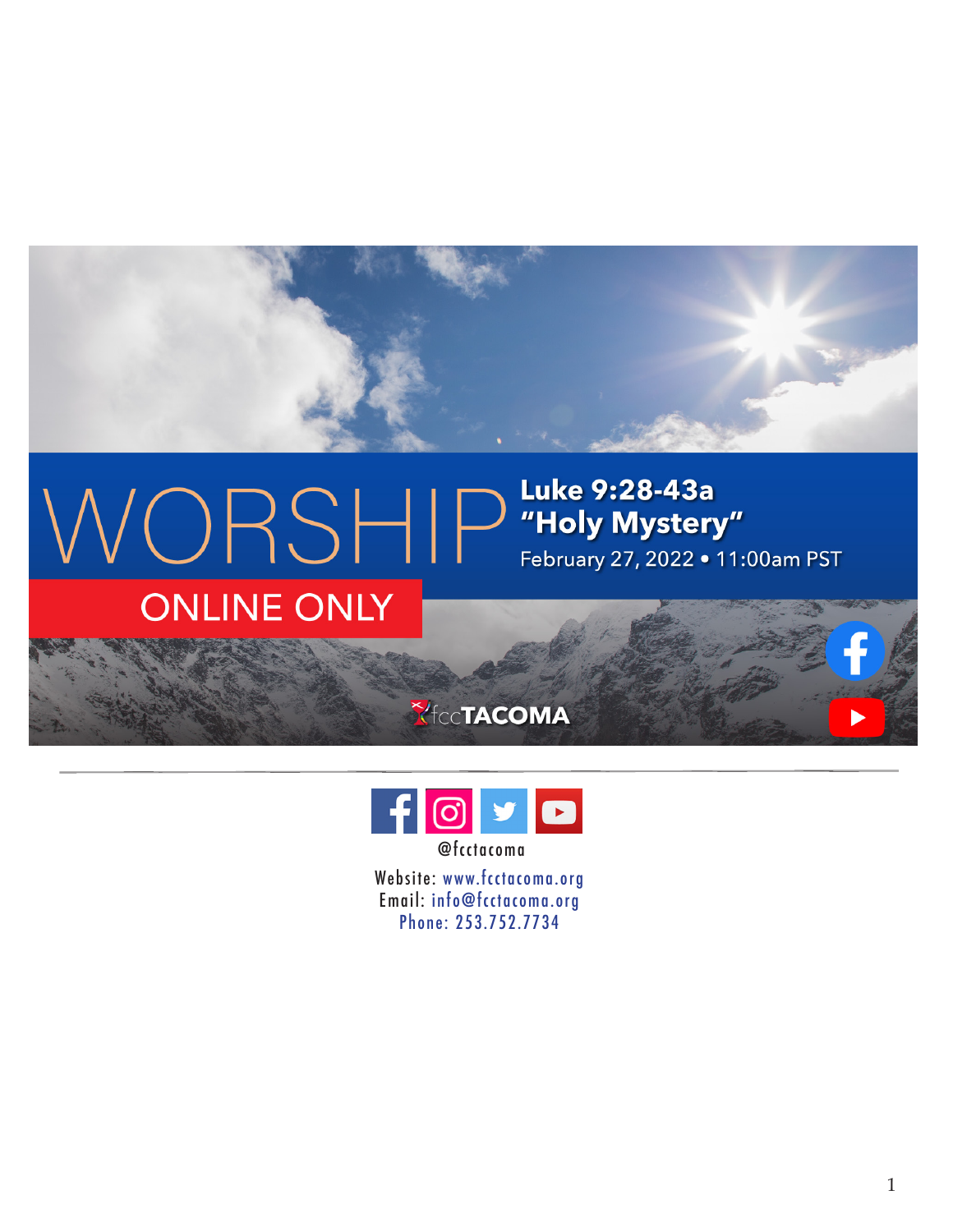## $\text{WOS}-\text{Fys}$  Luke 9:28-43a<br>February 27, 2022 • 11: February 27, 2022 . 11:00am PST **ONLINE ONLY**





Website: www.fcctacoma.org Email: info@fcctacoma.org Phone: 253.752.7734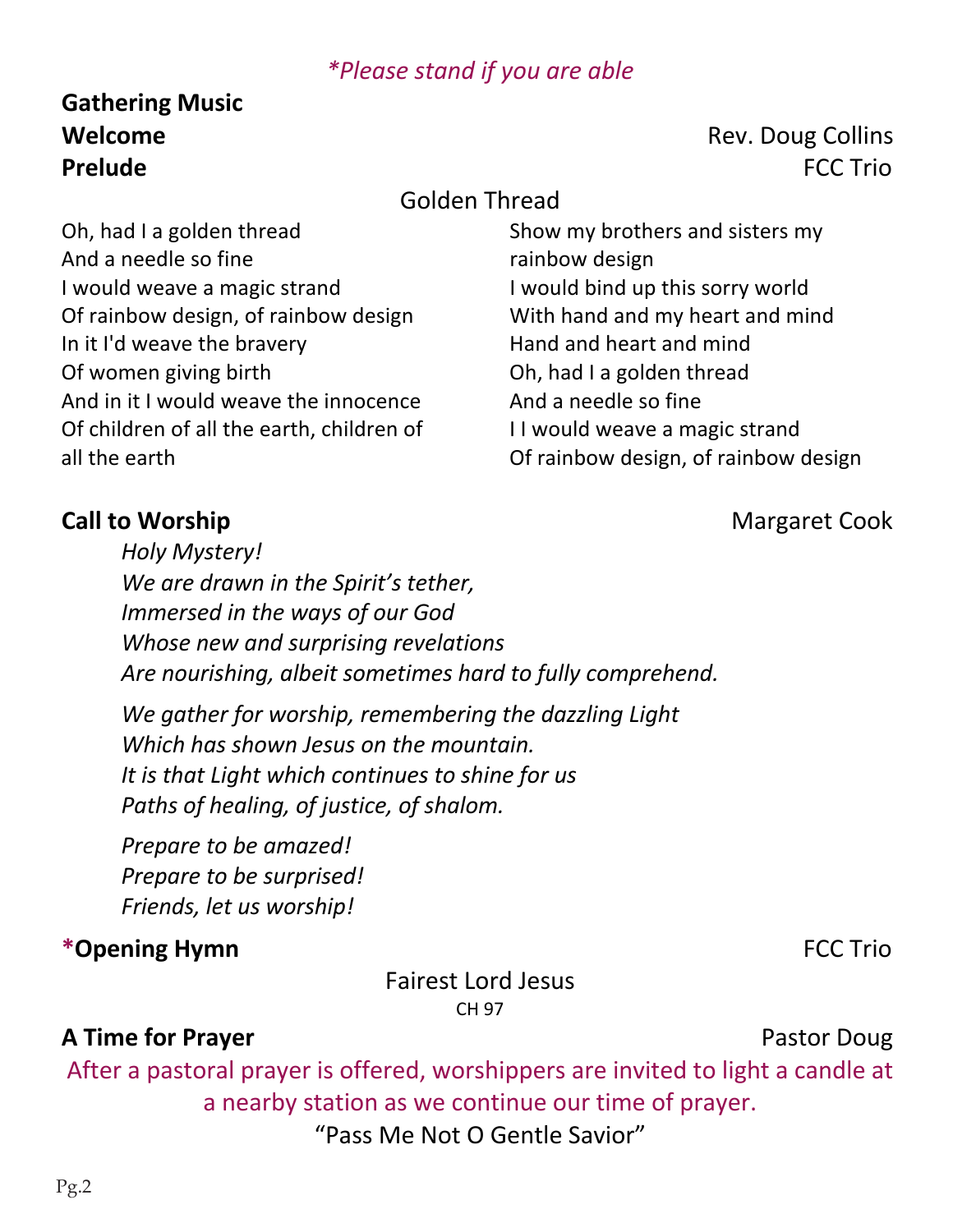### *\*Please stand if you are able*

# **Gathering Music**

### **Welcome** Rev. Doug Collins **Prelude** FCC Trio

### Golden Thread

Oh, had I a golden thread And a needle so fine I would weave a magic strand Of rainbow design, of rainbow design In it I'd weave the bravery Of women giving birth And in it I would weave the innocence Of children of all the earth, children of all the earth

Show my brothers and sisters my rainbow design I would bind up this sorry world With hand and my heart and mind Hand and heart and mind Oh, had I a golden thread And a needle so fine I I would weave a magic strand Of rainbow design, of rainbow design

### **Call to Worship Call to Worship 2008**

*Holy Mystery! We are drawn in the Spirit's tether, Immersed in the ways of our God Whose new and surprising revelations Are nourishing, albeit sometimes hard to fully comprehend.*

*We gather for worship, remembering the dazzling Light Which has shown Jesus on the mountain. It is that Light which continues to shine for us Paths of healing, of justice, of shalom.*

*Prepare to be amazed! Prepare to be surprised! Friends, let us worship!*

### **\*Opening Hymn** FCC Trio

Fairest Lord Jesus CH 97

### **A Time for Prayer Pastor Doug**

After a pastoral prayer is offered, worshippers are invited to light a candle at a nearby station as we continue our time of prayer. "Pass Me Not O Gentle Savior"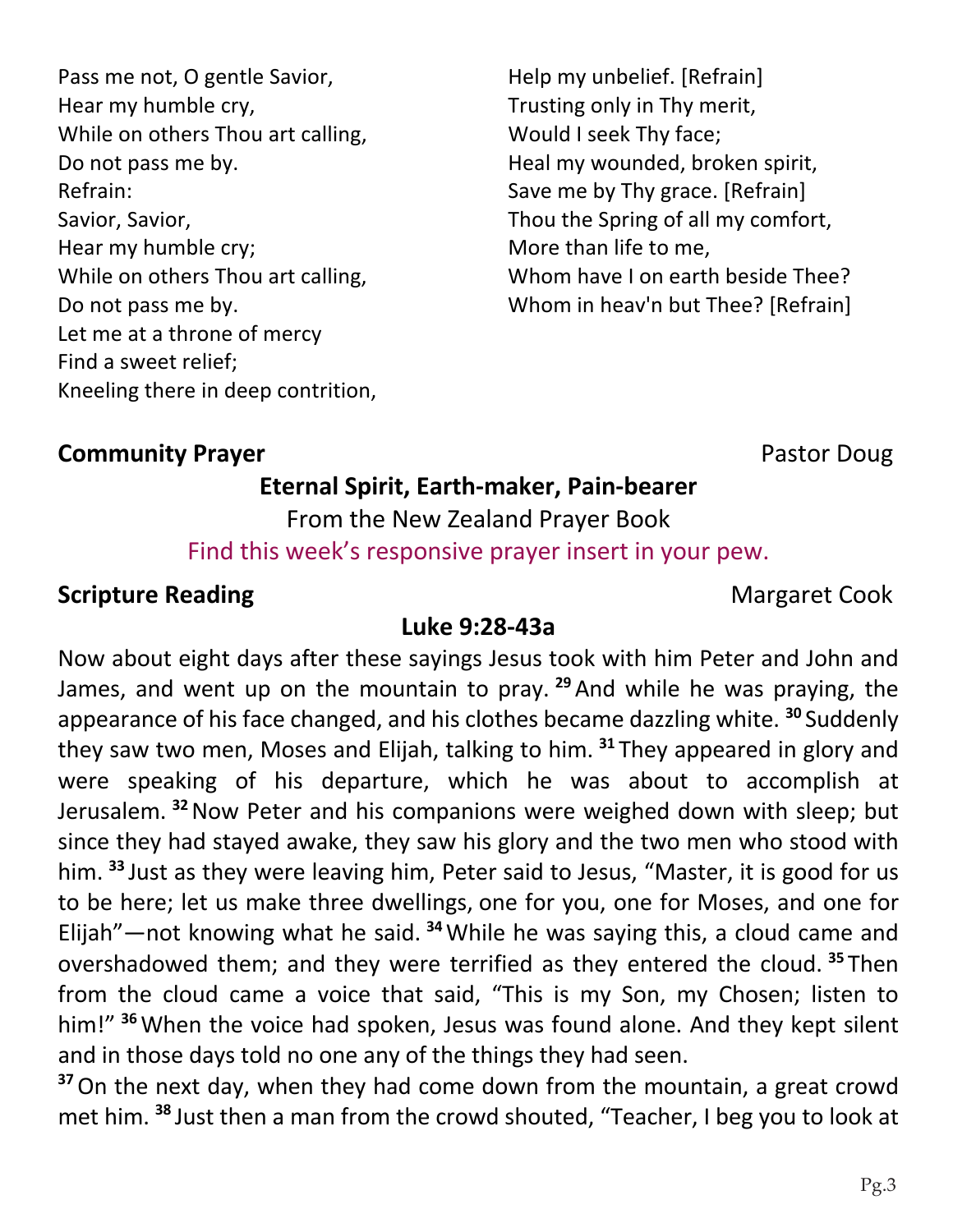Pass me not, O gentle Savior, Hear my humble cry, While on others Thou art calling, Do not pass me by. Refrain: Savior, Savior, Hear my humble cry; While on others Thou art calling, Do not pass me by. Let me at a throne of mercy Find a sweet relief; Kneeling there in deep contrition, Help my unbelief. [Refrain] Trusting only in Thy merit, Would I seek Thy face; Heal my wounded, broken spirit, Save me by Thy grace. [Refrain] Thou the Spring of all my comfort, More than life to me, Whom have I on earth beside Thee? Whom in heav'n but Thee? [Refrain]

### **Community Prayer** *Community* **Prayer Pastor Doug**

### **Eternal Spirit, Earth-maker, Pain-bearer**

From the New Zealand Prayer Book Find this week's responsive prayer insert in your pew.

### **Scripture Reading** Margaret Cook

### **Luke 9:28-43a**

Now about eight days after these sayings Jesus took with him Peter and John and James, and went up on the mountain to pray. **<sup>29</sup>**And while he was praying, the appearance of his face changed, and his clothes became dazzling white. **<sup>30</sup>** Suddenly they saw two men, Moses and Elijah, talking to him. **<sup>31</sup>** They appeared in glory and were speaking of his departure, which he was about to accomplish at Jerusalem. **<sup>32</sup>**Now Peter and his companions were weighed down with sleep; but since they had stayed awake, they saw his glory and the two men who stood with him. **<sup>33</sup>** Just as they were leaving him, Peter said to Jesus, "Master, it is good for us to be here; let us make three dwellings, one for you, one for Moses, and one for Elijah"—not knowing what he said. **<sup>34</sup>**While he was saying this, a cloud came and overshadowed them; and they were terrified as they entered the cloud. **<sup>35</sup>** Then from the cloud came a voice that said, "This is my Son, my Chosen; listen to him!" **<sup>36</sup>**When the voice had spoken, Jesus was found alone. And they kept silent and in those days told no one any of the things they had seen.

**<sup>37</sup>**On the next day, when they had come down from the mountain, a great crowd met him. **<sup>38</sup>** Just then a man from the crowd shouted, "Teacher, I beg you to look at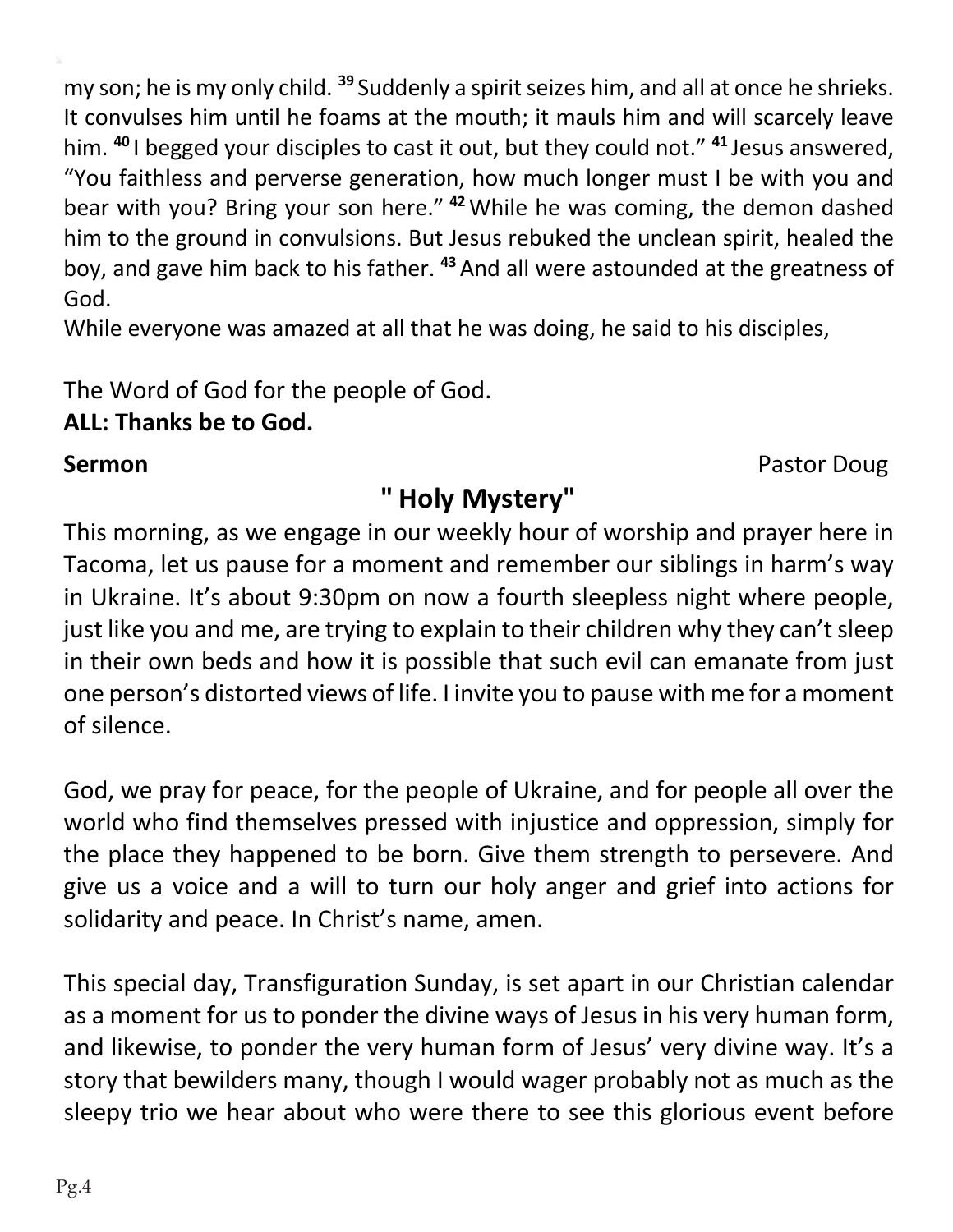my son; he is my only child. <sup>39</sup> Suddenly a spirit seizes him, and all at once he shrieks. It convulses him until he foams at the mouth; it mauls him and will scarcely leave him. **<sup>40</sup>** I begged your disciples to cast it out, but they could not." **<sup>41</sup>** Jesus answered, "You faithless and perverse generation, how much longer must I be with you and bear with you? Bring your son here." **<sup>42</sup>**While he was coming, the demon dashed him to the ground in convulsions. But Jesus rebuked the unclean spirit, healed the boy, and gave him back to his father. **<sup>43</sup>**And all were astounded at the greatness of God.

While everyone was amazed at all that he was doing, he said to his disciples,

The Word of God for the people of God. **ALL: Thanks be to God.**

**Sermon** Pastor Doug

### **" Holy Mystery"**

This morning, as we engage in our weekly hour of worship and prayer here in Tacoma, let us pause for a moment and remember our siblings in harm's way in Ukraine. It's about 9:30pm on now a fourth sleepless night where people, just like you and me, are trying to explain to their children why they can't sleep in their own beds and how it is possible that such evil can emanate from just one person's distorted views of life. I invite you to pause with me for a moment of silence.

God, we pray for peace, for the people of Ukraine, and for people all over the world who find themselves pressed with injustice and oppression, simply for the place they happened to be born. Give them strength to persevere. And give us a voice and a will to turn our holy anger and grief into actions for solidarity and peace. In Christ's name, amen.

This special day, Transfiguration Sunday, is set apart in our Christian calendar as a moment for us to ponder the divine ways of Jesus in his very human form, and likewise, to ponder the very human form of Jesus' very divine way. It's a story that bewilders many, though I would wager probably not as much as the sleepy trio we hear about who were there to see this glorious event before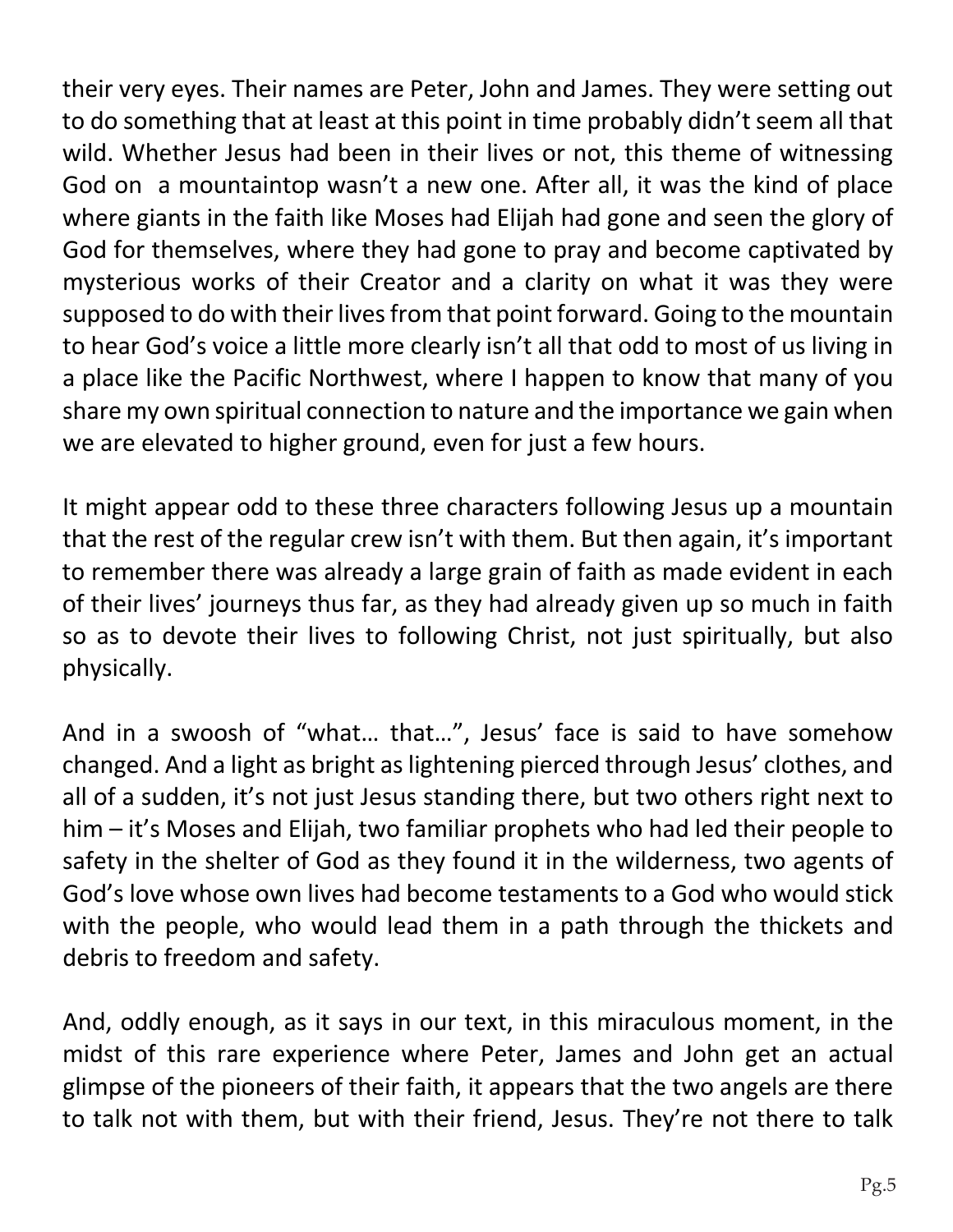their very eyes. Their names are Peter, John and James. They were setting out to do something that at least at this point in time probably didn't seem all that wild. Whether Jesus had been in their lives or not, this theme of witnessing God on a mountaintop wasn't a new one. After all, it was the kind of place where giants in the faith like Moses had Elijah had gone and seen the glory of God for themselves, where they had gone to pray and become captivated by mysterious works of their Creator and a clarity on what it was they were supposed to do with their lives from that point forward. Going to the mountain to hear God's voice a little more clearly isn't all that odd to most of us living in a place like the Pacific Northwest, where I happen to know that many of you share my own spiritual connection to nature and the importance we gain when we are elevated to higher ground, even for just a few hours.

It might appear odd to these three characters following Jesus up a mountain that the rest of the regular crew isn't with them. But then again, it's important to remember there was already a large grain of faith as made evident in each of their lives' journeys thus far, as they had already given up so much in faith so as to devote their lives to following Christ, not just spiritually, but also physically.

And in a swoosh of "what… that…", Jesus' face is said to have somehow changed. And a light as bright aslightening pierced through Jesus' clothes, and all of a sudden, it's not just Jesus standing there, but two others right next to him – it's Moses and Elijah, two familiar prophets who had led their people to safety in the shelter of God as they found it in the wilderness, two agents of God's love whose own lives had become testaments to a God who would stick with the people, who would lead them in a path through the thickets and debris to freedom and safety.

And, oddly enough, as it says in our text, in this miraculous moment, in the midst of this rare experience where Peter, James and John get an actual glimpse of the pioneers of their faith, it appears that the two angels are there to talk not with them, but with their friend, Jesus. They're not there to talk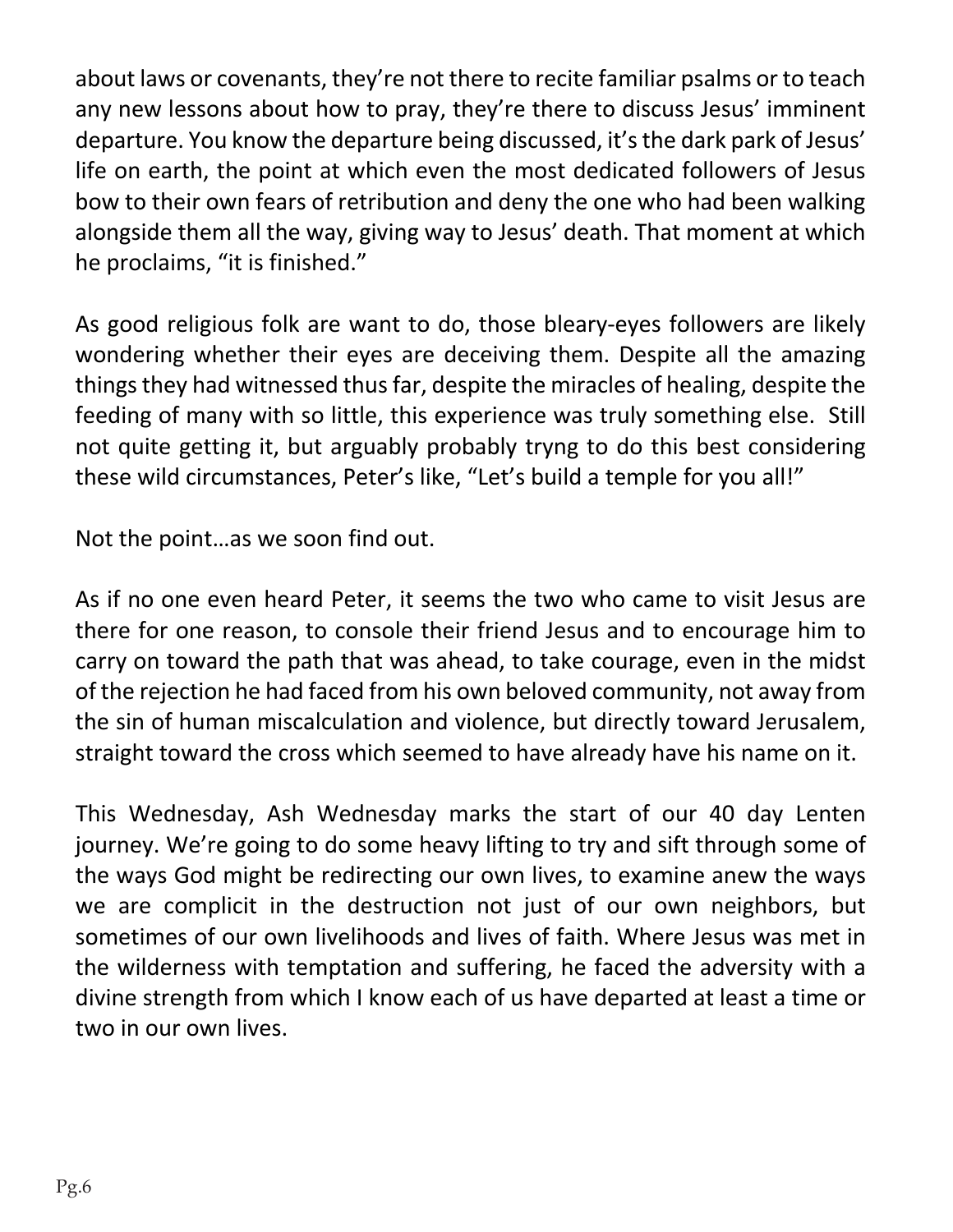about laws or covenants, they're not there to recite familiar psalms or to teach any new lessons about how to pray, they're there to discuss Jesus' imminent departure. You know the departure being discussed, it'sthe dark park of Jesus' life on earth, the point at which even the most dedicated followers of Jesus bow to their own fears of retribution and deny the one who had been walking alongside them all the way, giving way to Jesus' death. That moment at which he proclaims, "it is finished."

As good religious folk are want to do, those bleary-eyes followers are likely wondering whether their eyes are deceiving them. Despite all the amazing things they had witnessed thus far, despite the miracles of healing, despite the feeding of many with so little, this experience was truly something else. Still not quite getting it, but arguably probably tryng to do this best considering these wild circumstances, Peter's like, "Let's build a temple for you all!"

Not the point…as we soon find out.

As if no one even heard Peter, it seems the two who came to visit Jesus are there for one reason, to console their friend Jesus and to encourage him to carry on toward the path that was ahead, to take courage, even in the midst of the rejection he had faced from his own beloved community, not away from the sin of human miscalculation and violence, but directly toward Jerusalem, straight toward the cross which seemed to have already have his name on it.

This Wednesday, Ash Wednesday marks the start of our 40 day Lenten journey. We're going to do some heavy lifting to try and sift through some of the ways God might be redirecting our own lives, to examine anew the ways we are complicit in the destruction not just of our own neighbors, but sometimes of our own livelihoods and lives of faith. Where Jesus was met in the wilderness with temptation and suffering, he faced the adversity with a divine strength from which I know each of us have departed at least a time or two in our own lives.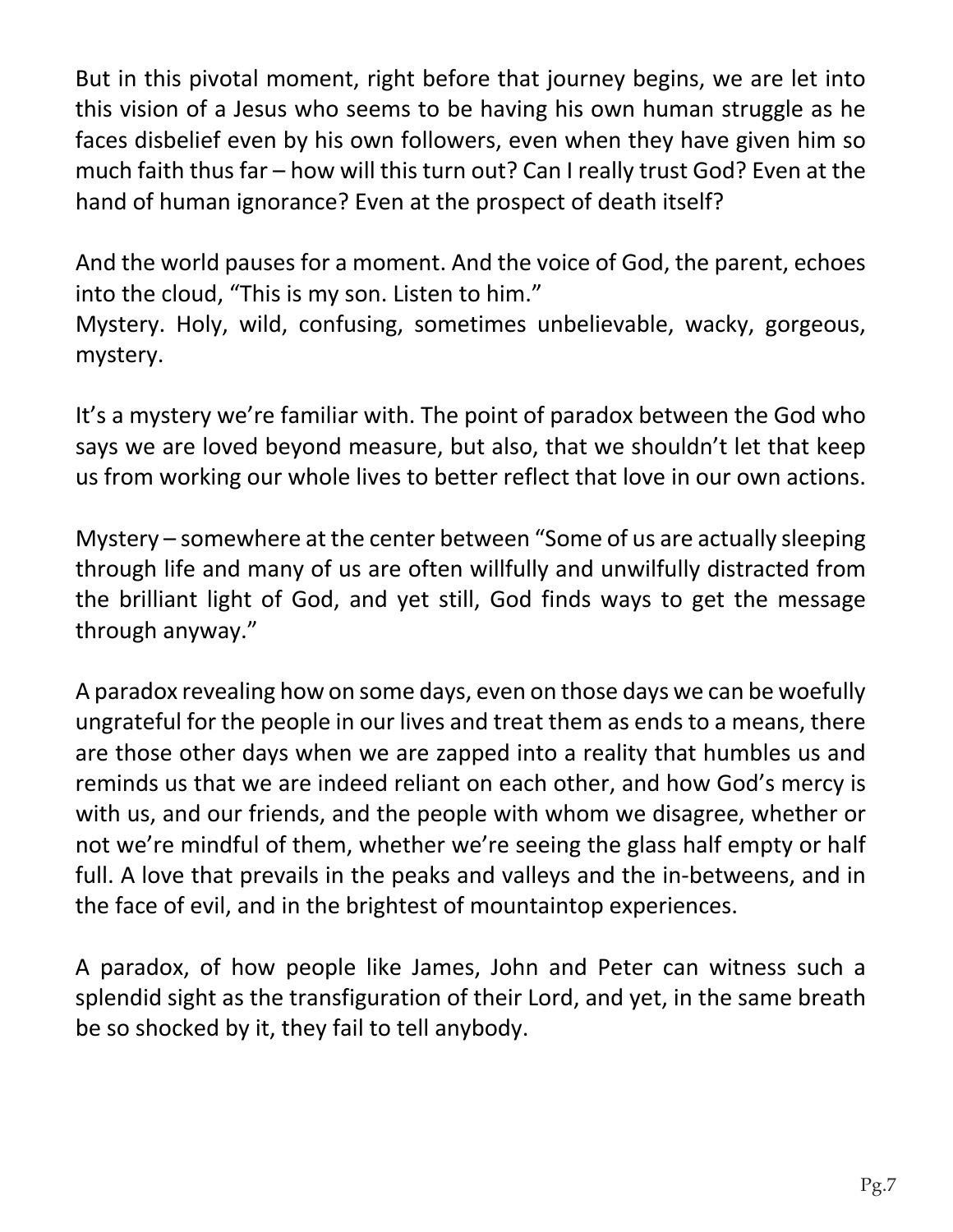But in this pivotal moment, right before that journey begins, we are let into this vision of a Jesus who seems to be having his own human struggle as he faces disbelief even by his own followers, even when they have given him so much faith thus far – how will this turn out? Can I really trust God? Even at the hand of human ignorance? Even at the prospect of death itself?

And the world pauses for a moment. And the voice of God, the parent, echoes into the cloud, "This is my son. Listen to him."

Mystery. Holy, wild, confusing, sometimes unbelievable, wacky, gorgeous, mystery.

It's a mystery we're familiar with. The point of paradox between the God who says we are loved beyond measure, but also, that we shouldn't let that keep us from working our whole lives to better reflect that love in our own actions.

Mystery – somewhere at the center between "Some of us are actually sleeping through life and many of us are often willfully and unwilfully distracted from the brilliant light of God, and yet still, God finds ways to get the message through anyway."

A paradox revealing how on some days, even on those days we can be woefully ungrateful for the people in our lives and treat them as ends to a means, there are those other days when we are zapped into a reality that humbles us and reminds us that we are indeed reliant on each other, and how God's mercy is with us, and our friends, and the people with whom we disagree, whether or not we're mindful of them, whether we're seeing the glass half empty or half full. A love that prevails in the peaks and valleys and the in-betweens, and in the face of evil, and in the brightest of mountaintop experiences.

A paradox, of how people like James, John and Peter can witness such a splendid sight as the transfiguration of their Lord, and yet, in the same breath be so shocked by it, they fail to tell anybody.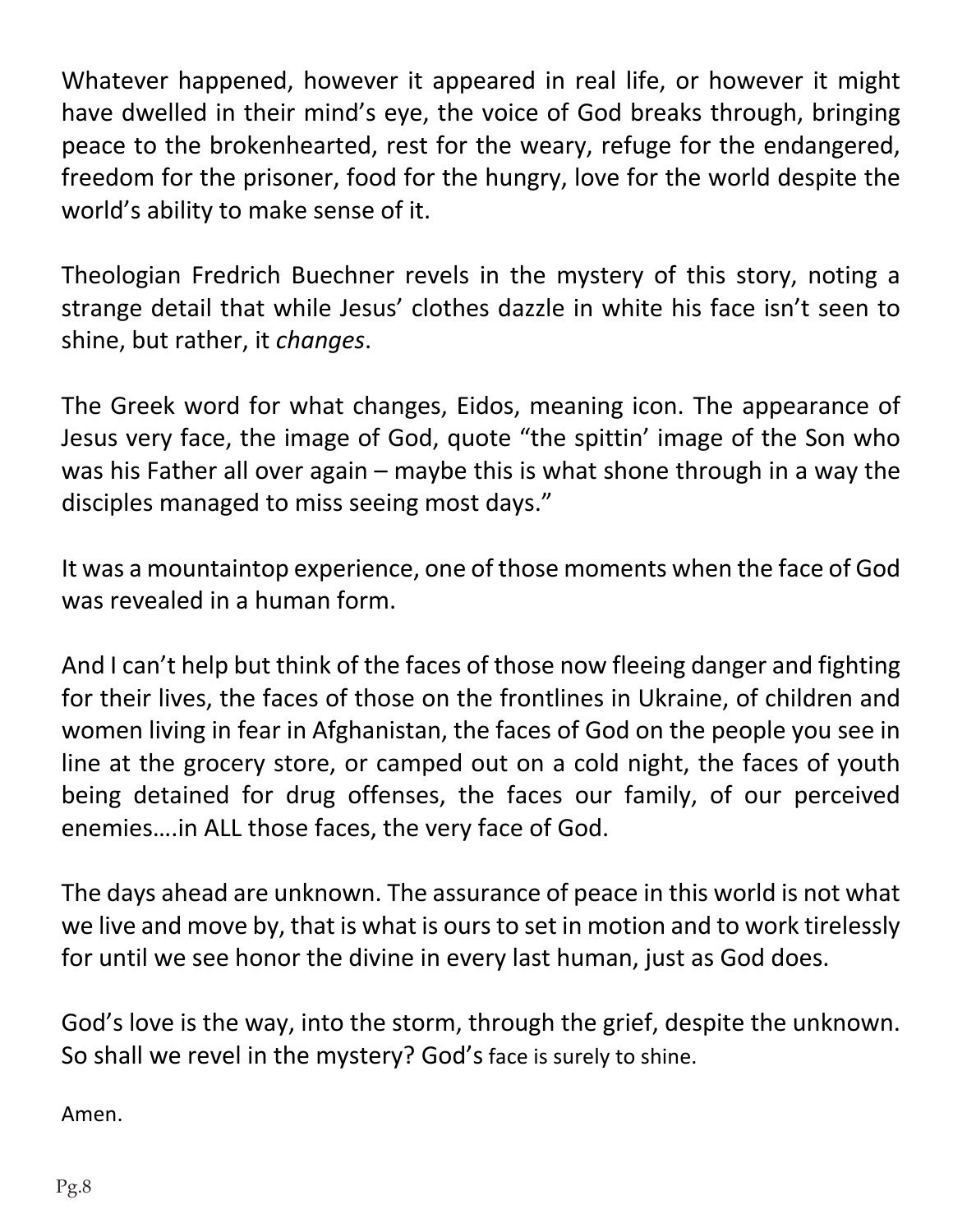Whatever happened, however it appeared in real life, or however it might have dwelled in their mind's eye, the voice of God breaks through, bringing peace to the brokenhearted, rest for the weary, refuge for the endangered, freedom for the prisoner, food for the hungry, love for the world despite the world's ability to make sense of it.

Theologian Fredrich Buechner revels in the mystery of this story, noting a strange detail that while Jesus' clothes dazzle in white his face isn't seen to shine, but rather, it *changes*.

The Greek word for what changes, Eidos, meaning icon. The appearance of Jesus very face, the image of God, quote "the spittin' image of the Son who was his Father all over again – maybe this is what shone through in a way the disciples managed to miss seeing most days."

It was a mountaintop experience, one of those moments when the face of God was revealed in a human form.

And I can't help but think of the faces of those now fleeing danger and fighting for their lives, the faces of those on the frontlines in Ukraine, of children and women living in fear in Afghanistan, the faces of God on the people you see in line at the grocery store, or camped out on a cold night, the faces of youth being detained for drug offenses, the faces our family, of our perceived enemies….in ALL those faces, the very face of God.

The days ahead are unknown. The assurance of peace in this world is not what we live and move by, that is what is ours to set in motion and to work tirelessly for until we see honor the divine in every last human, just as God does.

God's love is the way, into the storm, through the grief, despite the unknown. So shall we revel in the mystery? God's face is surely to shine.

Amen.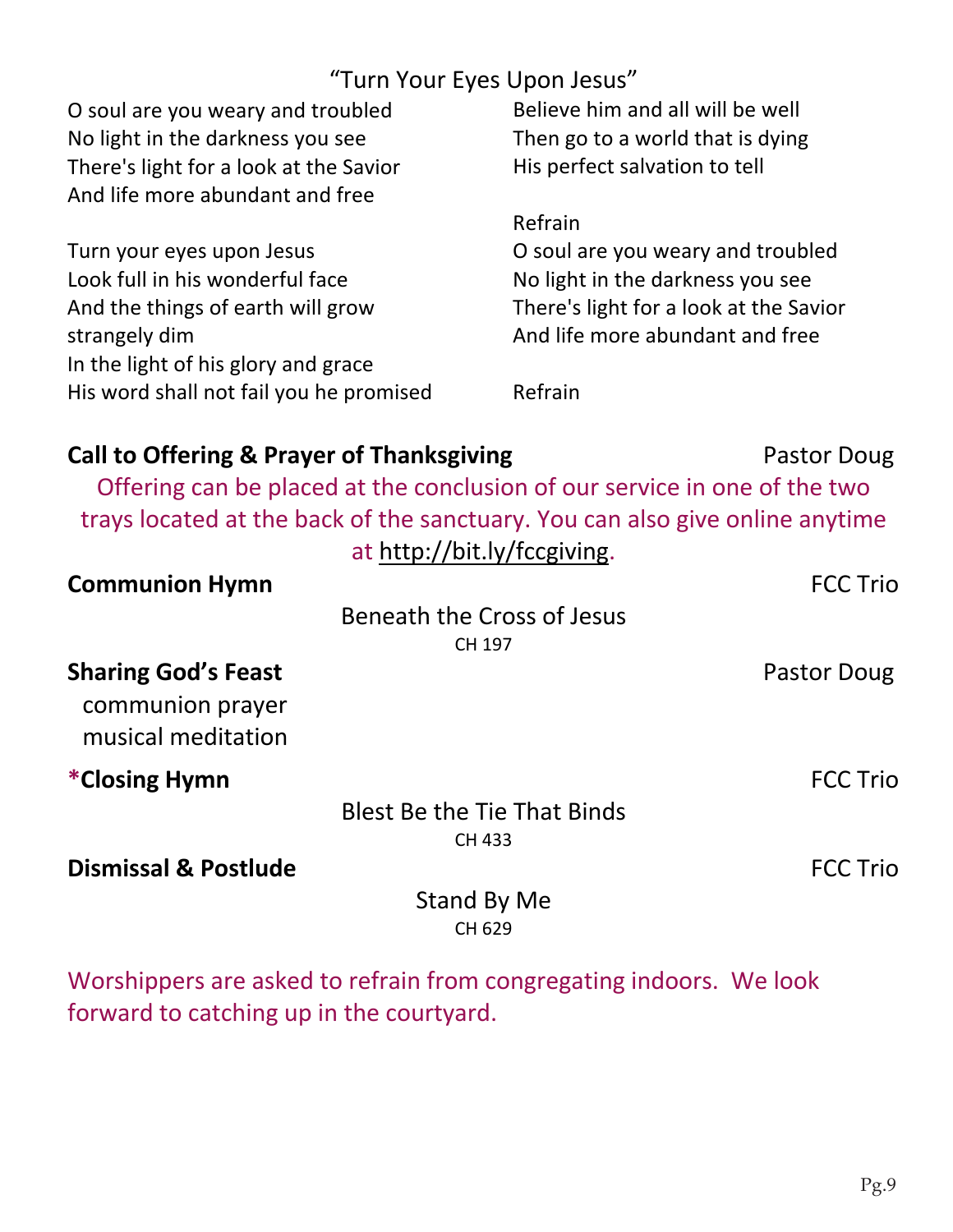### "Turn Your Eyes Upon Jesus"

| O soul are you weary and troubled                                            | Believe him and all will be well       |
|------------------------------------------------------------------------------|----------------------------------------|
| No light in the darkness you see                                             | Then go to a world that is dying       |
| There's light for a look at the Savior                                       | His perfect salvation to tell          |
| And life more abundant and free                                              |                                        |
|                                                                              | Refrain                                |
| Turn your eyes upon Jesus                                                    | O soul are you weary and troubled      |
| Look full in his wonderful face                                              | No light in the darkness you see       |
| And the things of earth will grow                                            | There's light for a look at the Savior |
| strangely dim                                                                | And life more abundant and free        |
| In the light of his glory and grace                                          |                                        |
| His word shall not fail you he promised                                      | Refrain                                |
|                                                                              |                                        |
| <b>Call to Offering &amp; Prayer of Thanksgiving</b>                         | Pastor Doug                            |
| Offering can be placed at the conclusion of our service in one of the two    |                                        |
| trays located at the back of the sanctuary. You can also give online anytime |                                        |
| at http://bit.ly/fccgiving.                                                  |                                        |
| <b>Communion Hymn</b>                                                        | <b>FCC Trio</b>                        |
| Beneath the Cross of Jesus                                                   |                                        |
| CH 197                                                                       |                                        |
| <b>Sharing God's Feast</b>                                                   | Pastor Doug                            |
| communion prayer                                                             |                                        |
| musical meditation                                                           |                                        |
|                                                                              |                                        |
| *Closing Hymn                                                                | <b>FCC Trio</b>                        |
| <b>Blest Be the Tie That Binds</b>                                           |                                        |
| CH 433                                                                       |                                        |
| <b>Dismissal &amp; Postlude</b>                                              | <b>FCC Trio</b>                        |
| <b>Stand By Me</b>                                                           |                                        |
| CH 629                                                                       |                                        |

Worshippers are asked to refrain from congregating indoors. We look forward to catching up in the courtyard.